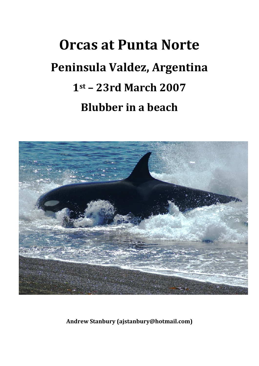## **Orcas at Punta Norte Peninsula Valdez, Argentina 1st Ȃ 23rd March&2007 Blubber** in a beach



**Andrew&Stanbury (ajstanbury@hotmail.com)**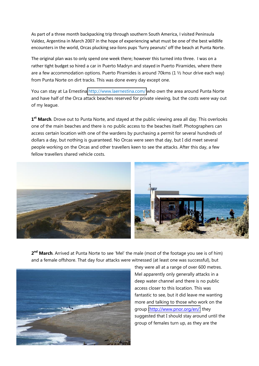As part of a three month backpacking trip through southern South America, I visited Peninsula Valdez, Argentina in March 2007 in the hope of experiencing what must be one of the best wildlife encounters in the world, Orcas plucking sea-lions pups 'furry peanuts' off the beach at Punta Norte.

The original plan was to only spend one week there; however this turned into three. I was on a rather tight budget so hired a car in Puerto Madryn and stayed in Puerto Piramides, where there are a few accommodation options. Puerto Piramides is around 70kms  $(1 \frac{1}{2})$  hour drive each way) from Punta Norte on dirt tracks. This was done every day except one.

You can stay at La Ernestina<http://www.laernestina.com/> who own the area around Punta Norte and have half of the Orca attack beaches reserved for private viewing, but the costs were way out of my league.

**1st March**. Drove out to Punta Norte, and stayed at the public viewing area all day. This overlooks one of the main beaches and there is no public access to the beaches itself. Photographers can access certain location with one of the wardens by purchasing a permit for several hundreds of dollars a day, but nothing is guaranteed. No Orcas were seen that day, but I did meet several people working on the Orcas and other travellers keen to see the attacks. After this day, a few fellow travellers shared vehicle costs.



**2<sup>nd</sup> March**. Arrived at Punta Norte to see 'Mel' the male (most of the footage you see is of him) and a female offshore. That day four attacks were witnessed (at least one was successful), but



they were all at a range of over 600 metres. Mel apparently only generally attacks in a deep water channel and there is no public access closer to this location. This was fantastic to see, but it did leave me wanting more and talking to those who work on the group (http://www.pnor.org/en/) they suggested that I should stay around until the group of females turn up, as they are the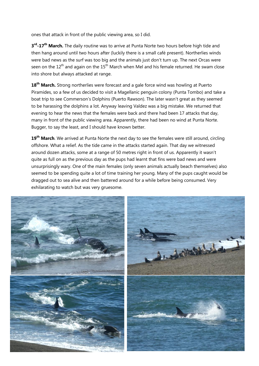ones that attack in front of the public viewing area, so I did.

**3rd.17th March.** The daily routine was to arrive at Punta Norte two hours before high tide and then hang around until two hours after (luckily there is a small café present). Northerlies winds were bad news as the surf was too big and the animals just don't turn up. The next Orcas were seen on the  $12<sup>th</sup>$  and again on the  $15<sup>th</sup>$  March when Mel and his female returned. He swam close into shore but always attacked at range.

18<sup>th</sup> March. Strong northerlies were forecast and a gale force wind was howling at Puerto Piramides, so a few of us decided to visit a Magellanic penguin colony (Punta Tombo) and take a boat trip to see Commerson's Dolphins (Puerto Rawson). The later wasn't great as they seemed to be harassing the dolphins a lot. Anyway leaving Valdez was a big mistake. We returned that evening to hear the news that the females were back and there had been 17 attacks that day, many in front of the public viewing area. Apparently, there had been no wind at Punta Norte. Bugger, to say the least, and I should have known better.

**19th March**. We arrived at Punta Norte the next day to see the females were still around, circling offshore. What a relief. As the tide came in the attacks started again. That day we witnessed around dozen attacks, some at a range of 50 metres right in front of us. Apparently it wasn't quite as full on as the previous day as the pups had learnt that fins were bad news and were unsurprisingly wary. One of the main females (only seven animals actually beach themselves) also seemed to be spending quite a lot of time training her young. Many of the pups caught would be dragged out to sea alive and then battered around for a while before being consumed. Very exhilarating to watch but was very gruesome.